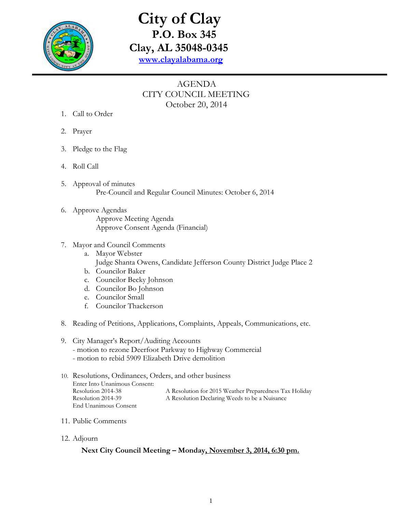

## **City of Clay P.O. Box 345 Clay, AL 35048-0345 [www.clayalabama.org](http://www.clayalabama.org/)**

## AGENDA CITY COUNCIL MEETING October 20, 2014

- 1. Call to Order
- 2. Prayer
- 3. Pledge to the Flag
- 4. Roll Call
- 5. Approval of minutes Pre-Council and Regular Council Minutes: October 6, 2014
- 6. Approve Agendas Approve Meeting Agenda Approve Consent Agenda (Financial)
- 7. Mayor and Council Comments
	- a. Mayor Webster Judge Shanta Owens, Candidate Jefferson County District Judge Place 2
	- b. Councilor Baker
	- c. Councilor Becky Johnson
	- d. Councilor Bo Johnson
	- e. Councilor Small
	- f. Councilor Thackerson
- 8. Reading of Petitions, Applications, Complaints, Appeals, Communications, etc.

## 9. City Manager's Report/Auditing Accounts

- motion to rezone Deerfoot Parkway to Highway Commercial
- motion to rebid 5909 Elizabeth Drive demolition
- 10. Resolutions, Ordinances, Orders, and other business Enter Into Unanimous Consent: Resolution 2014-38 A Resolution for 2015 Weather Preparedness Tax Holiday Resolution 2014-39 A Resolution Declaring Weeds to be a Nuisance End Unanimous Consent
- 11. Public Comments
- 12. Adjourn

## **Next City Council Meeting – Monday, November 3, 2014, 6:30 pm.**